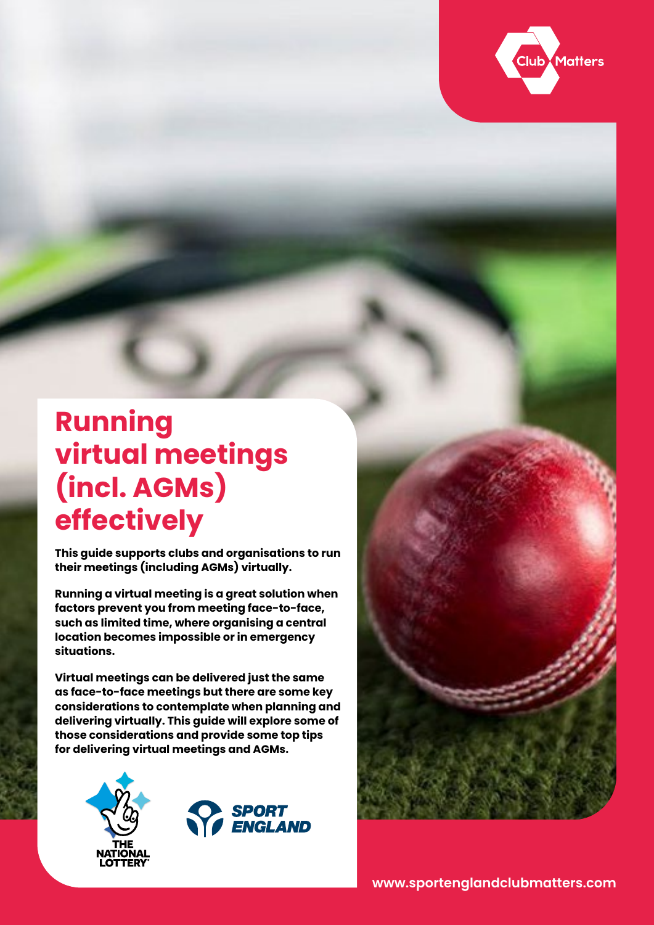

# **Running virtual meetings (incl. AGMs) effectively**

**This guide supports clubs and organisations to run their meetings (including AGMs) virtually.** 

**Running a virtual meeting is a great solution when factors prevent you from meeting face-to-face, such as limited time, where organising a central location becomes impossible or in emergency situations.** 

**Virtual meetings can be delivered just the same as face-to-face meetings but there are some key considerations to contemplate when planning and delivering virtually. This guide will explore some of those considerations and provide some top tips for delivering virtual meetings and AGMs.**





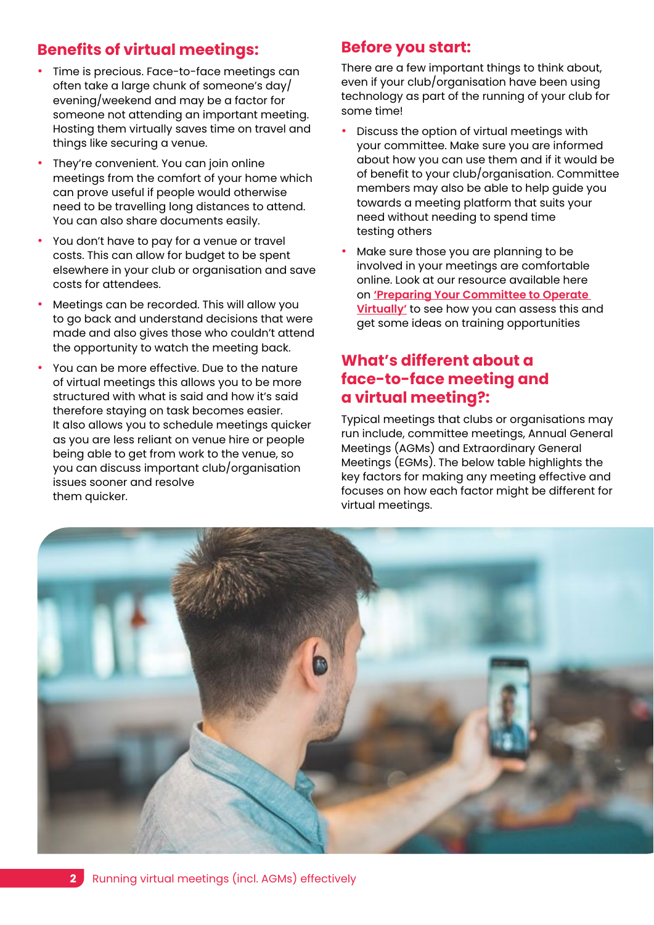#### **Benefits of virtual meetings:**

- Time is precious. Face-to-face meetings can often take a large chunk of someone's day/ evening/weekend and may be a factor for someone not attending an important meeting. Hosting them virtually saves time on travel and things like securing a venue.
- They're convenient. You can join online meetings from the comfort of your home which can prove useful if people would otherwise need to be travelling long distances to attend. You can also share documents easily.
- You don't have to pay for a venue or travel costs. This can allow for budget to be spent elsewhere in your club or organisation and save costs for attendees.
- Meetings can be recorded. This will allow you to go back and understand decisions that were made and also gives those who couldn't attend the opportunity to watch the meeting back.
- You can be more effective. Due to the nature of virtual meetings this allows you to be more structured with what is said and how it's said therefore staying on task becomes easier. It also allows you to schedule meetings quicker as you are less reliant on venue hire or people being able to get from work to the venue, so you can discuss important club/organisation issues sooner and resolve them quicker.

#### **Before you start:**

There are a few important things to think about, even if your club/organisation have been using technology as part of the running of your club for some time!

- Discuss the option of virtual meetings with your committee. Make sure you are informed about how you can use them and if it would be of benefit to your club/organisation. Committee members may also be able to help guide you towards a meeting platform that suits your need without needing to spend time testing others
- Make sure those you are planning to be involved in your meetings are comfortable online. Look at our resource available here on **['Preparing Your Committee to Operate](https://learn.sportenglandclubmatters.com/course/view.php?id=71)  [Virtually'](https://learn.sportenglandclubmatters.com/course/view.php?id=71)** to see how you can assess this and get some ideas on training opportunities

#### **What's different about a face-to-face meeting and a virtual meeting?:**

Typical meetings that clubs or organisations may run include, committee meetings, Annual General Meetings (AGMs) and Extraordinary General Meetings (EGMs). The below table highlights the key factors for making any meeting effective and focuses on how each factor might be different for virtual meetings.

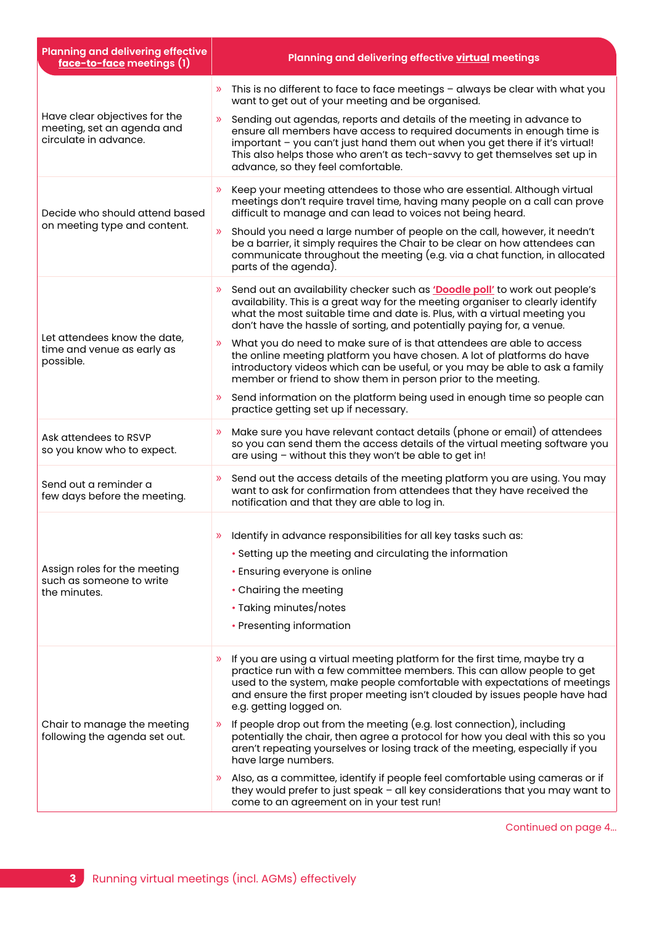| <b>Planning and delivering effective</b><br>face-to-face meetings (1)                | Planning and delivering effective virtual meetings                                                                                                                                                                                                                                                                                                     |
|--------------------------------------------------------------------------------------|--------------------------------------------------------------------------------------------------------------------------------------------------------------------------------------------------------------------------------------------------------------------------------------------------------------------------------------------------------|
| Have clear objectives for the<br>meeting, set an agenda and<br>circulate in advance. | This is no different to face to face meetings - always be clear with what you<br>want to get out of your meeting and be organised.                                                                                                                                                                                                                     |
|                                                                                      | Sending out agendas, reports and details of the meeting in advance to<br>ensure all members have access to required documents in enough time is<br>important - you can't just hand them out when you get there if it's virtual!<br>This also helps those who aren't as tech-savvy to get themselves set up in<br>advance, so they feel comfortable.    |
| Decide who should attend based<br>on meeting type and content.                       | Keep your meeting attendees to those who are essential. Although virtual<br>$\mathcal{V}$<br>meetings don't require travel time, having many people on a call can prove<br>difficult to manage and can lead to voices not being heard.                                                                                                                 |
|                                                                                      | Should you need a large number of people on the call, however, it needn't<br>be a barrier, it simply requires the Chair to be clear on how attendees can<br>communicate throughout the meeting (e.g. via a chat function, in allocated<br>parts of the agenda).                                                                                        |
| Let attendees know the date,<br>time and venue as early as<br>possible.              | Send out an availability checker such as 'Doodle poll' to work out people's<br>availability. This is a great way for the meeting organiser to clearly identify<br>what the most suitable time and date is. Plus, with a virtual meeting you<br>don't have the hassle of sorting, and potentially paying for, a venue.                                  |
|                                                                                      | What you do need to make sure of is that attendees are able to access<br>$\mathcal{D}$<br>the online meeting platform you have chosen. A lot of platforms do have<br>introductory videos which can be useful, or you may be able to ask a family<br>member or friend to show them in person prior to the meeting.                                      |
|                                                                                      | Send information on the platform being used in enough time so people can<br>$\gg$<br>practice getting set up if necessary.                                                                                                                                                                                                                             |
| Ask attendees to RSVP<br>so you know who to expect.                                  | Make sure you have relevant contact details (phone or email) of attendees<br>$\mathcal{D}$<br>so you can send them the access details of the virtual meeting software you<br>are using - without this they won't be able to get in!                                                                                                                    |
| Send out a reminder a<br>few days before the meeting.                                | » Send out the access details of the meeting platform you are using. You may<br>want to ask for confirmation from attendees that they have received the<br>notification and that they are able to log in.                                                                                                                                              |
| Assign roles for the meeting<br>such as someone to write<br>the minutes.             | Identify in advance responsibilities for all key tasks such as:<br>• Setting up the meeting and circulating the information<br>• Ensuring everyone is online<br>• Chairing the meeting<br>• Taking minutes/notes                                                                                                                                       |
|                                                                                      | • Presenting information                                                                                                                                                                                                                                                                                                                               |
| Chair to manage the meeting<br>following the agenda set out.                         | If you are using a virtual meeting platform for the first time, maybe try a<br>$\gg$<br>practice run with a few committee members. This can allow people to get<br>used to the system, make people comfortable with expectations of meetings<br>and ensure the first proper meeting isn't clouded by issues people have had<br>e.g. getting logged on. |
|                                                                                      | If people drop out from the meeting (e.g. lost connection), including<br>potentially the chair, then agree a protocol for how you deal with this so you<br>aren't repeating yourselves or losing track of the meeting, especially if you<br>have large numbers.                                                                                        |
|                                                                                      | Also, as a committee, identify if people feel comfortable using cameras or if<br>they would prefer to just speak - all key considerations that you may want to<br>come to an agreement on in your test run!                                                                                                                                            |

Continued on page 4...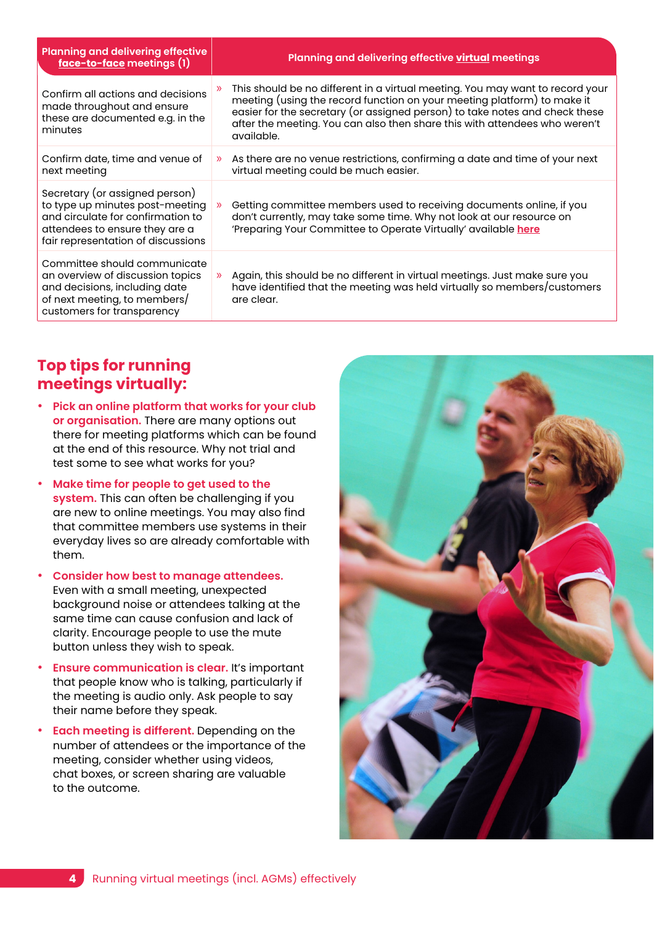| <b>Planning and delivering effective</b><br>face-to-face meetings (1)                                                                                                          | Planning and delivering effective virtual meetings                                                                                                                                                                                                                                                                                  |
|--------------------------------------------------------------------------------------------------------------------------------------------------------------------------------|-------------------------------------------------------------------------------------------------------------------------------------------------------------------------------------------------------------------------------------------------------------------------------------------------------------------------------------|
| Confirm all actions and decisions<br>made throughout and ensure<br>these are documented e.g. in the<br>minutes                                                                 | This should be no different in a virtual meeting. You may want to record your<br>meeting (using the record function on your meeting platform) to make it<br>easier for the secretary (or assigned person) to take notes and check these<br>after the meeting. You can also then share this with attendees who weren't<br>available. |
| Confirm date, time and venue of<br>next meeting                                                                                                                                | As there are no venue restrictions, confirming a date and time of your next<br>$\mathcal{D}$<br>virtual meeting could be much easier.                                                                                                                                                                                               |
| Secretary (or assigned person)<br>to type up minutes post-meeting<br>and circulate for confirmation to<br>attendees to ensure they are a<br>fair representation of discussions | Getting committee members used to receiving documents online, if you<br>$\mathcal{D}$<br>don't currently, may take some time. Why not look at our resource on<br>'Preparing Your Committee to Operate Virtually' available here                                                                                                     |
| Committee should communicate<br>an overview of discussion topics<br>and decisions, including date<br>of next meeting, to members/<br>customers for transparency                | Again, this should be no different in virtual meetings. Just make sure you<br>$\mathcal{D}$<br>have identified that the meeting was held virtually so members/customers<br>are clear.                                                                                                                                               |

#### **Top tips for running meetings virtually:**

- **Pick an online platform that works for your club or organisation.** There are many options out there for meeting platforms which can be found at the end of this resource. Why not trial and test some to see what works for you?
- **Make time for people to get used to the system.** This can often be challenging if you are new to online meetings. You may also find that committee members use systems in their everyday lives so are already comfortable with them.
- **Consider how best to manage attendees.** Even with a small meeting, unexpected background noise or attendees talking at the same time can cause confusion and lack of clarity. Encourage people to use the mute button unless they wish to speak.
- **Ensure communication is clear.** It's important that people know who is talking, particularly if the meeting is audio only. Ask people to say their name before they speak.
- **Each meeting is different.** Depending on the number of attendees or the importance of the meeting, consider whether using videos, chat boxes, or screen sharing are valuable to the outcome.

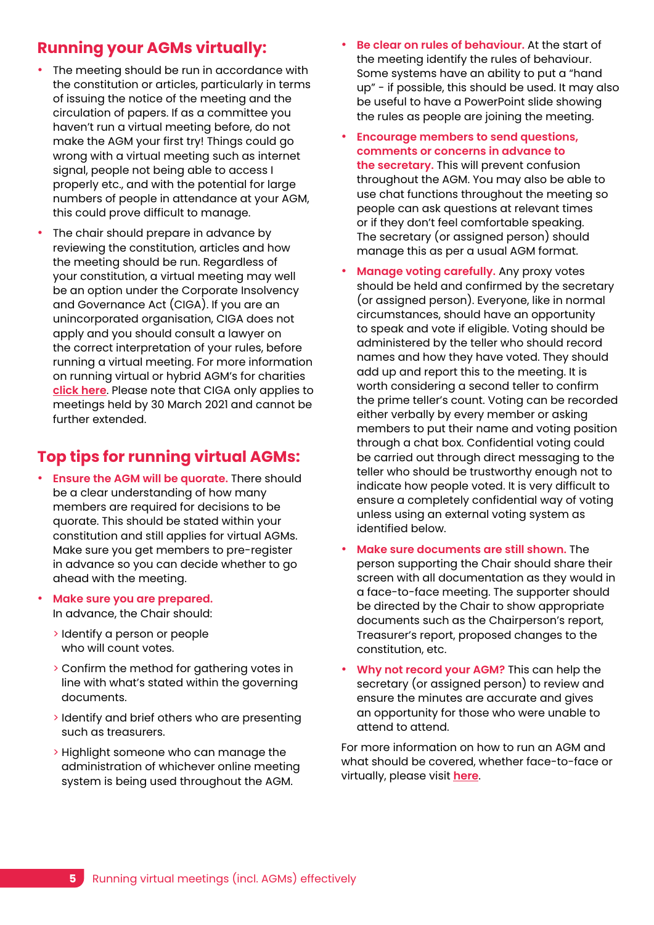#### **Running your AGMs virtually:**

- The meeting should be run in accordance with the constitution or articles, particularly in terms of issuing the notice of the meeting and the circulation of papers. If as a committee you haven't run a virtual meeting before, do not make the AGM your first try! Things could go wrong with a virtual meeting such as internet signal, people not being able to access I properly etc., and with the potential for large numbers of people in attendance at your AGM, this could prove difficult to manage.
- The chair should prepare in advance by reviewing the constitution, articles and how the meeting should be run. Regardless of your constitution, a virtual meeting may well be an option under the Corporate Insolvency and Governance Act (CIGA). If you are an unincorporated organisation, CIGA does not apply and you should consult a lawyer on the correct interpretation of your rules, before running a virtual meeting. For more information on running virtual or hybrid AGM's for charities **[click here](https://www.icsa.org.uk/knowledge/resources/virtual-and-hybrid-agms-a-guide-for-charities)**. Please note that CIGA only applies to meetings held by 30 March 2021 and cannot be further extended.

## **Top tips for running virtual AGMs:**

- **Ensure the AGM will be quorate.** There should be a clear understanding of how many members are required for decisions to be quorate. This should be stated within your constitution and still applies for virtual AGMs. Make sure you get members to pre-register in advance so you can decide whether to go ahead with the meeting.
- **Make sure you are prepared.** In advance, the Chair should:
	- > Identify a person or people who will count votes.
	- > Confirm the method for gathering votes in line with what's stated within the governing documents.
	- > Identify and brief others who are presenting such as treasurers.
	- > Highlight someone who can manage the administration of whichever online meeting system is being used throughout the AGM.
- **Be clear on rules of behaviour.** At the start of the meeting identify the rules of behaviour. Some systems have an ability to put a "hand up" - if possible, this should be used. It may also be useful to have a PowerPoint slide showing the rules as people are joining the meeting.
- **Encourage members to send questions, comments or concerns in advance to the secretary.** This will prevent confusion throughout the AGM. You may also be able to use chat functions throughout the meeting so people can ask questions at relevant times or if they don't feel comfortable speaking. The secretary (or assigned person) should manage this as per a usual AGM format.
- **Manage voting carefully.** Any proxy votes should be held and confirmed by the secretary (or assigned person). Everyone, like in normal circumstances, should have an opportunity to speak and vote if eligible. Voting should be administered by the teller who should record names and how they have voted. They should add up and report this to the meeting. It is worth considering a second teller to confirm the prime teller's count. Voting can be recorded either verbally by every member or asking members to put their name and voting position through a chat box. Confidential voting could be carried out through direct messaging to the teller who should be trustworthy enough not to indicate how people voted. It is very difficult to ensure a completely confidential way of voting unless using an external voting system as identified below.
- **Make sure documents are still shown.** The person supporting the Chair should share their screen with all documentation as they would in a face-to-face meeting. The supporter should be directed by the Chair to show appropriate documents such as the Chairperson's report, Treasurer's report, proposed changes to the constitution, etc.
- **Why not record your AGM?** This can help the secretary (or assigned person) to review and ensure the minutes are accurate and gives an opportunity for those who were unable to attend to attend.

For more information on how to run an AGM and what should be covered, whether face-to-face or virtually, please visit **[here](https://learn.sportenglandclubmatters.com/course/view.php?id=71)**.